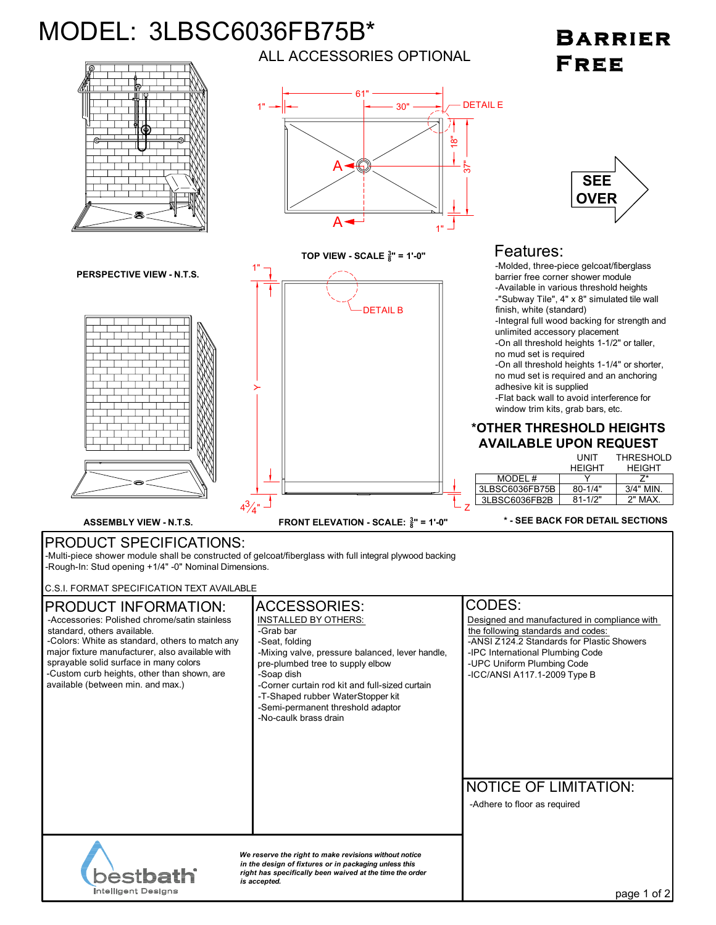